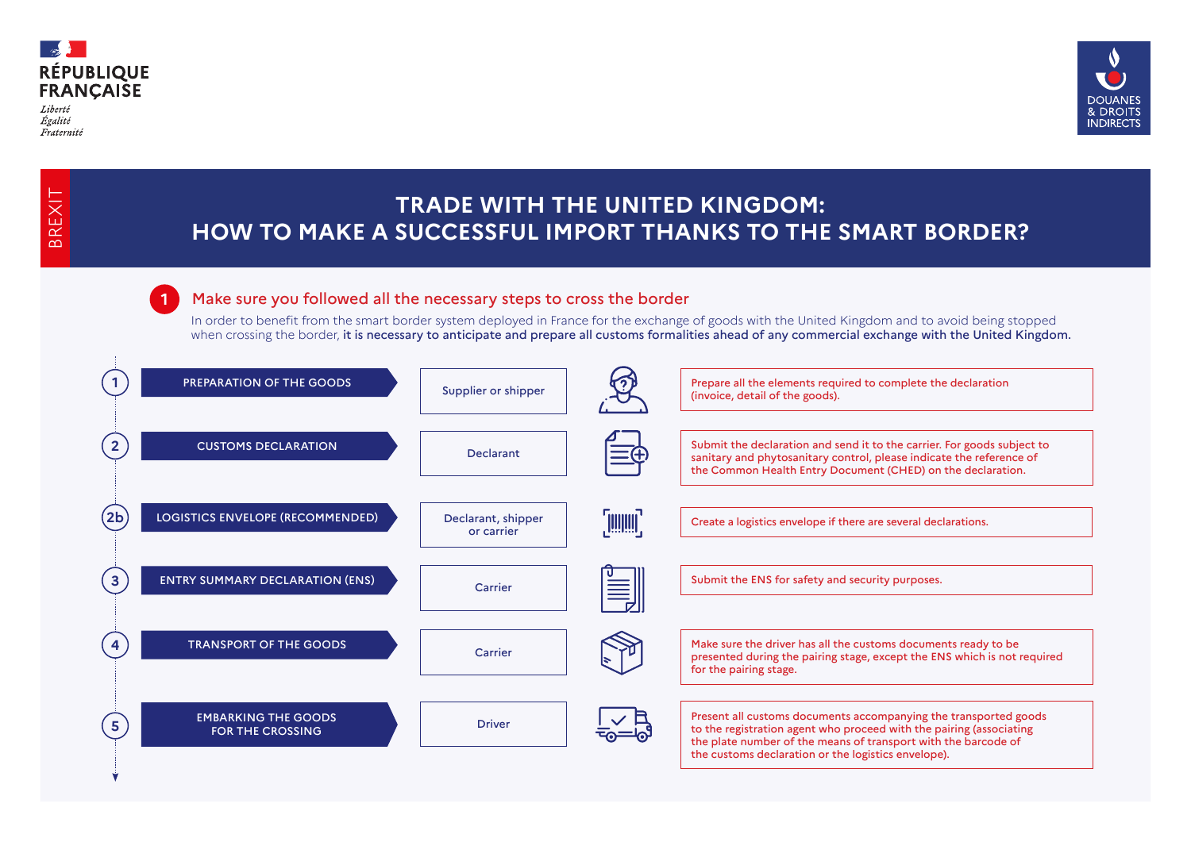

Liberté Égalité Fraternité

**BREXIT** 



# **TRADE WITH THE UNITED KINGDOM: HOW TO MAKE A SUCCESSFUL IMPORT THANKS TO THE SMART BORDER?**

# **1** Make sure you followed all the necessary steps to cross the border

In order to benefit from the smart border system deployed in France for the exchange of goods with the United Kingdom and to avoid being stopped when crossing the border, it is necessary to anticipate and prepare all customs formalities ahead of any commercial exchange with the United Kingdom.

| $\mathbf{1}$   | PREPARATION OF THE GOODS                              | Supplier or shipper              |                   | Prepare all the elements required to complete the declaration<br>(invoice, detail of the goods).                                                                                                                                                                 |
|----------------|-------------------------------------------------------|----------------------------------|-------------------|------------------------------------------------------------------------------------------------------------------------------------------------------------------------------------------------------------------------------------------------------------------|
| $\overline{2}$ | <b>CUSTOMS DECLARATION</b>                            | <b>Declarant</b>                 | $\equiv$ $\oplus$ | Submit the declaration and send it to the carrier. For goods subject to<br>sanitary and phytosanitary control, please indicate the reference of<br>the Common Health Entry Document (CHED) on the declaration.                                                   |
| (2b)           | <b>LOGISTICS ENVELOPE (RECOMMENDED)</b>               | Declarant, shipper<br>or carrier | <b>TUUUT</b>      | Create a logistics envelope if there are several declarations.                                                                                                                                                                                                   |
| $\mathbf{3}$   | <b>ENTRY SUMMARY DECLARATION (ENS)</b>                | Carrier                          |                   | Submit the ENS for safety and security purposes.                                                                                                                                                                                                                 |
| $\overline{4}$ | <b>TRANSPORT OF THE GOODS</b>                         | Carrier                          |                   | Make sure the driver has all the customs documents ready to be<br>presented during the pairing stage, except the ENS which is not required<br>for the pairing stage.                                                                                             |
| $5\phantom{1}$ | <b>EMBARKING THE GOODS</b><br><b>FOR THE CROSSING</b> | <b>Driver</b>                    |                   | Present all customs documents accompanying the transported goods<br>to the registration agent who proceed with the pairing (associating<br>the plate number of the means of transport with the barcode of<br>the customs declaration or the logistics envelope). |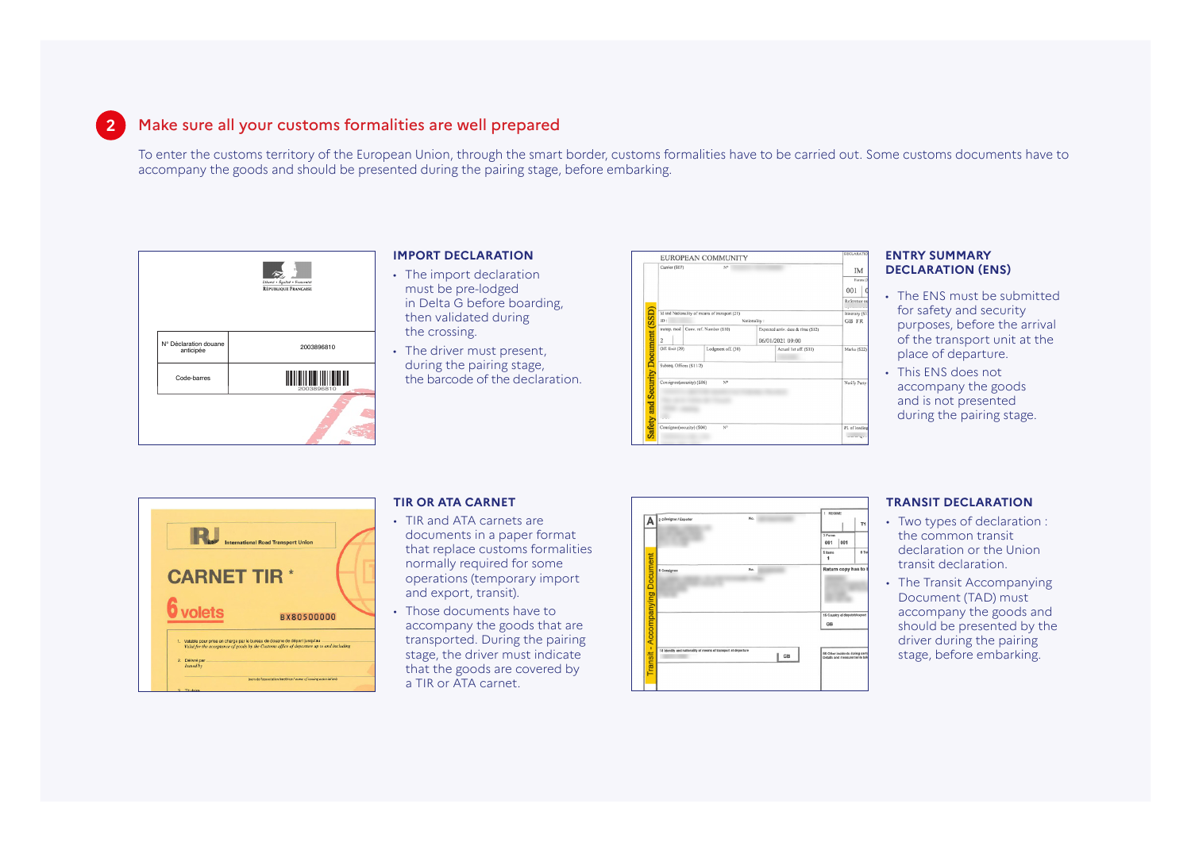

# **2** Make sure all your customs formalities are well prepared

To enter the customs territory of the European Union, through the smart border, customs formalities have to be carried out. Some customs documents have to accompany the goods and should be presented during the pairing stage, before embarking.



### **IMPORT DECLARATION**

- The import declaration must be pre-lodged in Delta G before boarding, then validated during the crossing.
- The driver must present, during the pairing stage, the barcode of the declaration.

|                                                                     | EUROPEAN COMMUNITY                            |                                                        | DECLARATIO                     |
|---------------------------------------------------------------------|-----------------------------------------------|--------------------------------------------------------|--------------------------------|
| Carrier (S07)                                                       | $N^2$                                         |                                                        | <b>IM</b>                      |
|                                                                     |                                               |                                                        | Forms (3)<br>001               |
|                                                                     |                                               |                                                        | Reference nu                   |
| ID:                                                                 | Id and Nationality of means of transport (21) | Nationality:                                           | Itinerary (S1)<br><b>GB FR</b> |
| Safety and Security Document (SSD)<br>transp. mod<br>$\overline{2}$ | Conv. ref. Number (S10)                       | Expected arriv, date & time (S12).<br>06/01/2021 09:00 |                                |
| Off. Exit (29)                                                      | Lodgment off. (30)                            | Actual 1st off. (S11)                                  | Marks (S22)                    |
| Subseq. Offices (S11/2)                                             |                                               |                                                        |                                |
| Consignee(security) (S06)                                           | N*                                            |                                                        | Notify Party                   |
|                                                                     |                                               |                                                        |                                |
| Consignor(security) (S04)                                           | $N^*$                                         |                                                        | Pl. of loading                 |

### **ENTRY SUMMARY DECLARATION (ENS)**

- The ENS must be submitted for safety and security purposes, before the arrival of the transport unit at the place of departure.
- This ENS does not accompany the goods and is not presented during the pairing stage.



### **TIR OR ATA CARNET**

- TIR and ATA carnets are documents in a paper format that replace customs formalities normally required for some operations (temporary import and export, transit).
- Those documents have to accompany the goods that are transported. During the pairing stage, the driver must indicate that the goods are covered by a TIR or ATA carnet.



### **TRANSIT DECLARATION**

- Two types of declaration : the common transit declaration or the Union transit declaration.
- The Transit Accompanying Document (TAD) must accompany the goods and should be presented by the driver during the pairing stage, before embarking.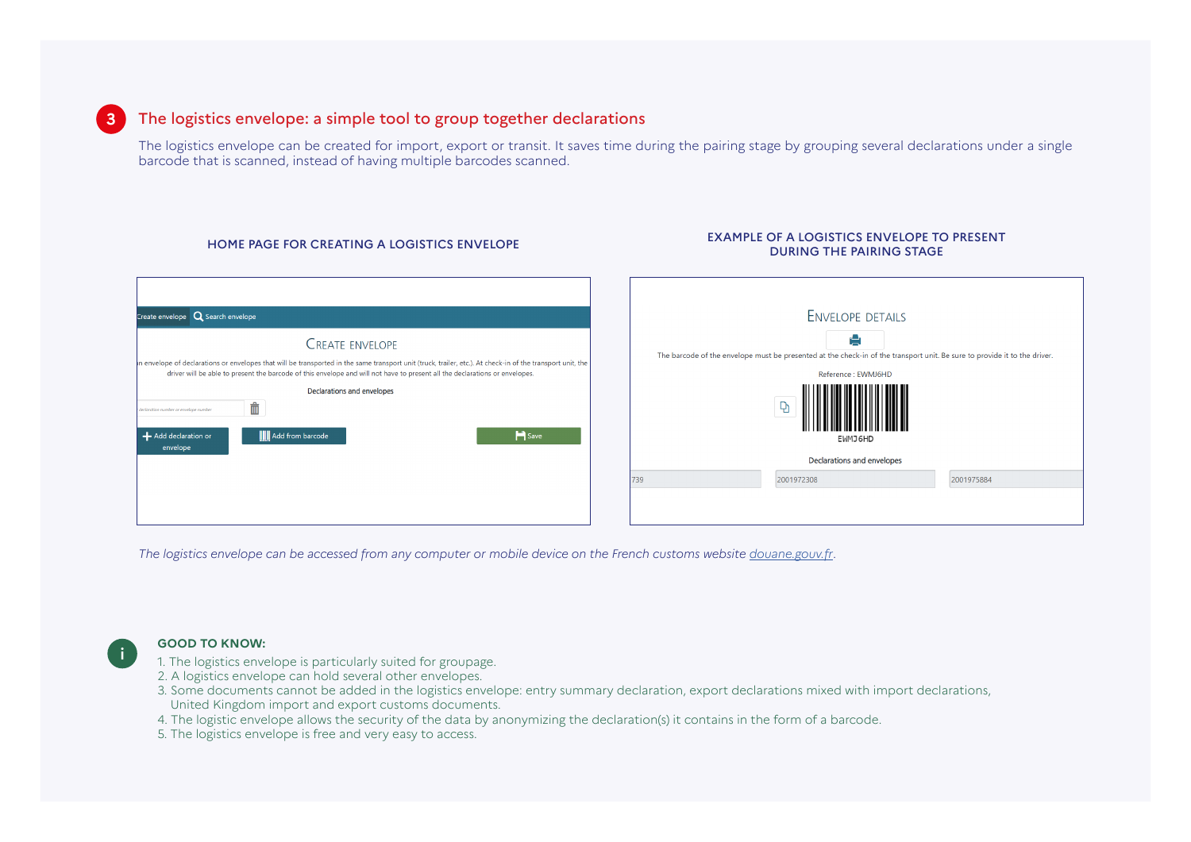# **3** The logistics envelope: a simple tool to group together declarations

The logistics envelope can be created for import, export or transit. It saves time during the pairing stage by grouping several declarations under a single barcode that is scanned, instead of having multiple barcodes scanned.

| Create envelope $\overline{Q}$ Search envelope<br><b>CREATE ENVELOPE</b><br>in envelope of declarations or envelopes that will be transported in the same transport unit (truck, trailer, etc.). At check-in of the transport unit, the<br>driver will be able to present the barcode of this envelope and will not have to present all the declarations or envelopes.<br>Declarations and envelopes<br>面<br>declaration number or envelope number |
|----------------------------------------------------------------------------------------------------------------------------------------------------------------------------------------------------------------------------------------------------------------------------------------------------------------------------------------------------------------------------------------------------------------------------------------------------|
|                                                                                                                                                                                                                                                                                                                                                                                                                                                    |
|                                                                                                                                                                                                                                                                                                                                                                                                                                                    |
|                                                                                                                                                                                                                                                                                                                                                                                                                                                    |
|                                                                                                                                                                                                                                                                                                                                                                                                                                                    |
|                                                                                                                                                                                                                                                                                                                                                                                                                                                    |
| $\Box$ Save<br><b>Add from barcode</b><br>Add declaration or<br>envelope                                                                                                                                                                                                                                                                                                                                                                           |
|                                                                                                                                                                                                                                                                                                                                                                                                                                                    |
|                                                                                                                                                                                                                                                                                                                                                                                                                                                    |
|                                                                                                                                                                                                                                                                                                                                                                                                                                                    |

### HOME PAGE FOR CREATING A LOGISTICS ENVELOPE EXAMPLE OF A LOGISTICS ENVELOPE TO PRESENT DURING THE PAIRING STAGE



*The logistics envelope can be accessed from any computer or mobile device on the French customs website douane.gouv.fr*.



# **i GOOD TO KNOW:**

- 1. The logistics envelope is particularly suited for groupage.
- 2. A logistics envelope can hold several other envelopes.
- 3. Some documents cannot be added in the logistics envelope: entry summary declaration, export declarations mixed with import declarations, United Kingdom import and export customs documents.
- 4. The logistic envelope allows the security of the data by anonymizing the declaration(s) it contains in the form of a barcode.
- 5. The logistics envelope is free and very easy to access.